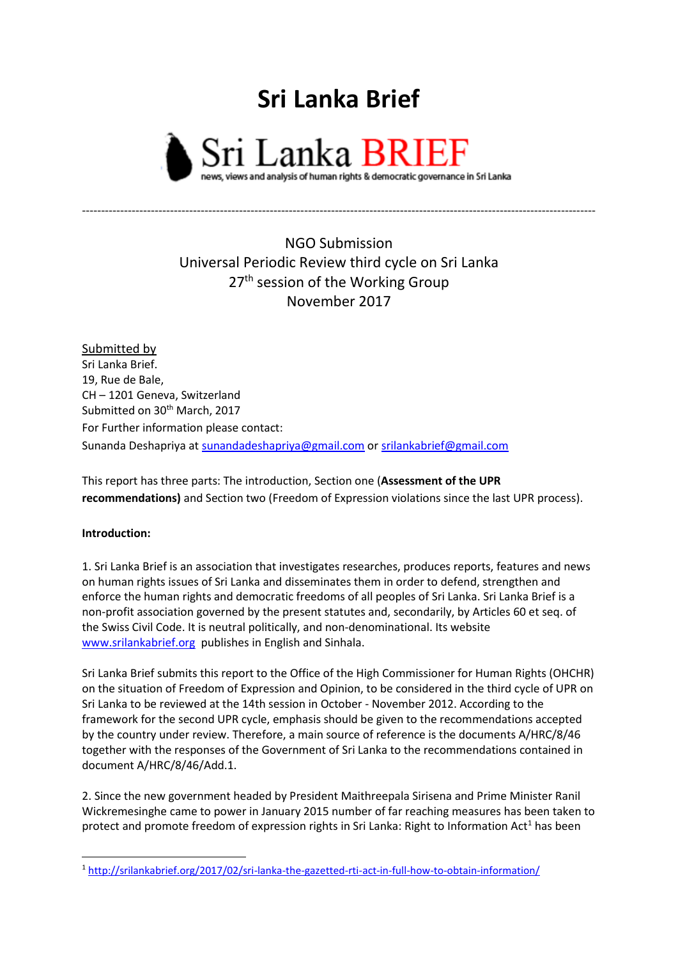## **Sri Lanka Brief**



NGO Submission Universal Periodic Review third cycle on Sri Lanka 27<sup>th</sup> session of the Working Group November 2017

--------------------------------------------------------------------------------------------------------------------------------------

Submitted by Sri Lanka Brief. 19, Rue de Bale, CH – 1201 Geneva, Switzerland Submitted on 30<sup>th</sup> March, 2017 For Further information please contact: Sunanda Deshapriya at [sunandadeshapriya@gmail.com](mailto:sunandadeshapriya@gmail.com) or [srilankabrief@gmail.com](mailto:srilankabrief@gmail.com)

This report has three parts: The introduction, Section one (**Assessment of the UPR recommendations)** and Section two (Freedom of Expression violations since the last UPR process).

## **Introduction:**

**.** 

1. Sri Lanka Brief is an association that investigates researches, produces reports, features and news on human rights issues of Sri Lanka and disseminates them in order to defend, strengthen and enforce the human rights and democratic freedoms of all peoples of Sri Lanka. Sri Lanka Brief is a non-profit association governed by the present statutes and, secondarily, by Articles 60 et seq. of the Swiss Civil Code. It is neutral politically, and non-denominational. Its website [www.srilankabrief.org](http://www.srilankabrief.org/) publishes in English and Sinhala.

Sri Lanka Brief submits this report to the Office of the High Commissioner for Human Rights (OHCHR) on the situation of Freedom of Expression and Opinion, to be considered in the third cycle of UPR on Sri Lanka to be reviewed at the 14th session in October - November 2012. According to the framework for the second UPR cycle, emphasis should be given to the recommendations accepted by the country under review. Therefore, a main source of reference is the documents A/HRC/8/46 together with the responses of the Government of Sri Lanka to the recommendations contained in document A/HRC/8/46/Add.1.

2. Since the new government headed by President Maithreepala Sirisena and Prime Minister Ranil Wickremesinghe came to power in January 2015 number of far reaching measures has been taken to protect and promote freedom of expression rights in Sri Lanka: Right to Information Act<sup>1</sup> has been

<sup>1</sup> <http://srilankabrief.org/2017/02/sri-lanka-the-gazetted-rti-act-in-full-how-to-obtain-information/>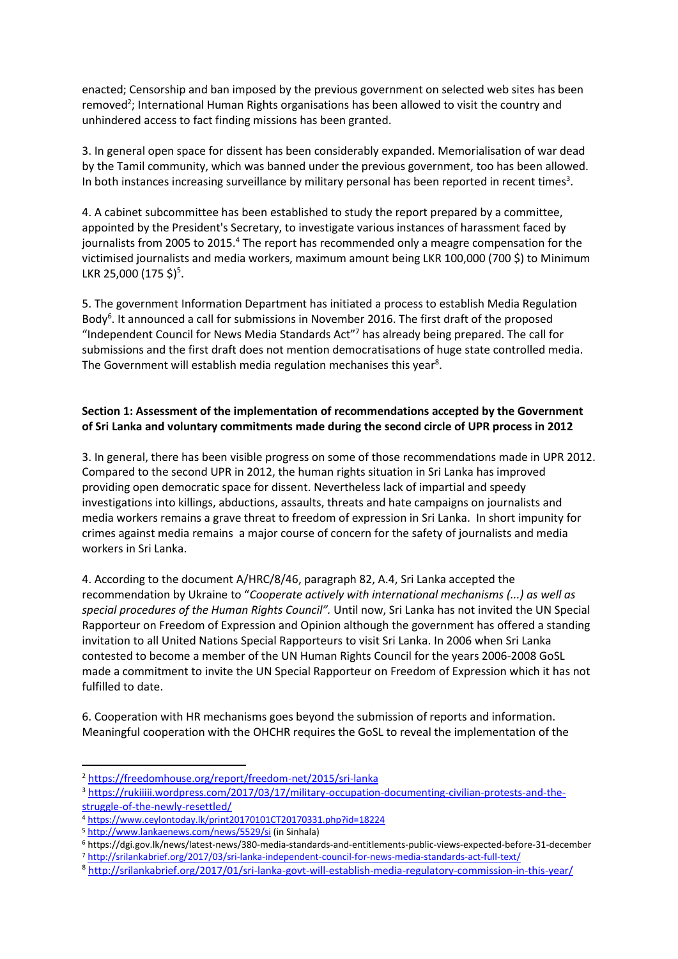enacted; Censorship and ban imposed by the previous government on selected web sites has been removed<sup>2</sup>; International Human Rights organisations has been allowed to visit the country and unhindered access to fact finding missions has been granted.

3. In general open space for dissent has been considerably expanded. Memorialisation of war dead by the Tamil community, which was banned under the previous government, too has been allowed. In both instances increasing surveillance by military personal has been reported in recent times<sup>3</sup>.

4. A cabinet subcommittee has been established to study the report prepared by a committee, appointed by the President's Secretary, to investigate various instances of harassment faced by journalists from 2005 to 2015.<sup>4</sup> The report has recommended only a meagre compensation for the victimised journalists and media workers, maximum amount being LKR 100,000 (700 \$) to Minimum LKR 25,000 (175 \$)<sup>5</sup>.

5. The government Information Department has initiated a process to establish Media Regulation Body<sup>6</sup>. It announced a call for submissions in November 2016. The first draft of the proposed "Independent Council for News Media Standards Act"<sup>7</sup> has already being prepared. The call for submissions and the first draft does not mention democratisations of huge state controlled media. The Government will establish media regulation mechanises this year<sup>8</sup>.

## **Section 1: Assessment of the implementation of recommendations accepted by the Government of Sri Lanka and voluntary commitments made during the second circle of UPR process in 2012**

3. In general, there has been visible progress on some of those recommendations made in UPR 2012. Compared to the second UPR in 2012, the human rights situation in Sri Lanka has improved providing open democratic space for dissent. Nevertheless lack of impartial and speedy investigations into killings, abductions, assaults, threats and hate campaigns on journalists and media workers remains a grave threat to freedom of expression in Sri Lanka. In short impunity for crimes against media remains a major course of concern for the safety of journalists and media workers in Sri Lanka.

4. According to the document A/HRC/8/46, paragraph 82, A.4, Sri Lanka accepted the recommendation by Ukraine to "*Cooperate actively with international mechanisms (...) as well as special procedures of the Human Rights Council".* Until now, Sri Lanka has not invited the UN Special Rapporteur on Freedom of Expression and Opinion although the government has offered a standing invitation to all United Nations Special Rapporteurs to visit Sri Lanka. In 2006 when Sri Lanka contested to become a member of the UN Human Rights Council for the years 2006-2008 GoSL made a commitment to invite the UN Special Rapporteur on Freedom of Expression which it has not fulfilled to date.

6. Cooperation with HR mechanisms goes beyond the submission of reports and information. Meaningful cooperation with the OHCHR requires the GoSL to reveal the implementation of the

1

<sup>2</sup> <https://freedomhouse.org/report/freedom-net/2015/sri-lanka>

<sup>3</sup> [https://rukiiiii.wordpress.com/2017/03/17/military-occupation-documenting-civilian-protests-and-the](https://rukiiiii.wordpress.com/2017/03/17/military-occupation-documenting-civilian-protests-and-the-struggle-of-the-newly-resettled/)[struggle-of-the-newly-resettled/](https://rukiiiii.wordpress.com/2017/03/17/military-occupation-documenting-civilian-protests-and-the-struggle-of-the-newly-resettled/)

<sup>4</sup> <https://www.ceylontoday.lk/print20170101CT20170331.php?id=18224>

<sup>5</sup> <http://www.lankaenews.com/news/5529/si> (in Sinhala)

<sup>6</sup> https://dgi.gov.lk/news/latest-news/380-media-standards-and-entitlements-public-views-expected-before-31-december

<sup>7</sup> <http://srilankabrief.org/2017/03/sri-lanka-independent-council-for-news-media-standards-act-full-text/>

<sup>8</sup> <http://srilankabrief.org/2017/01/sri-lanka-govt-will-establish-media-regulatory-commission-in-this-year/>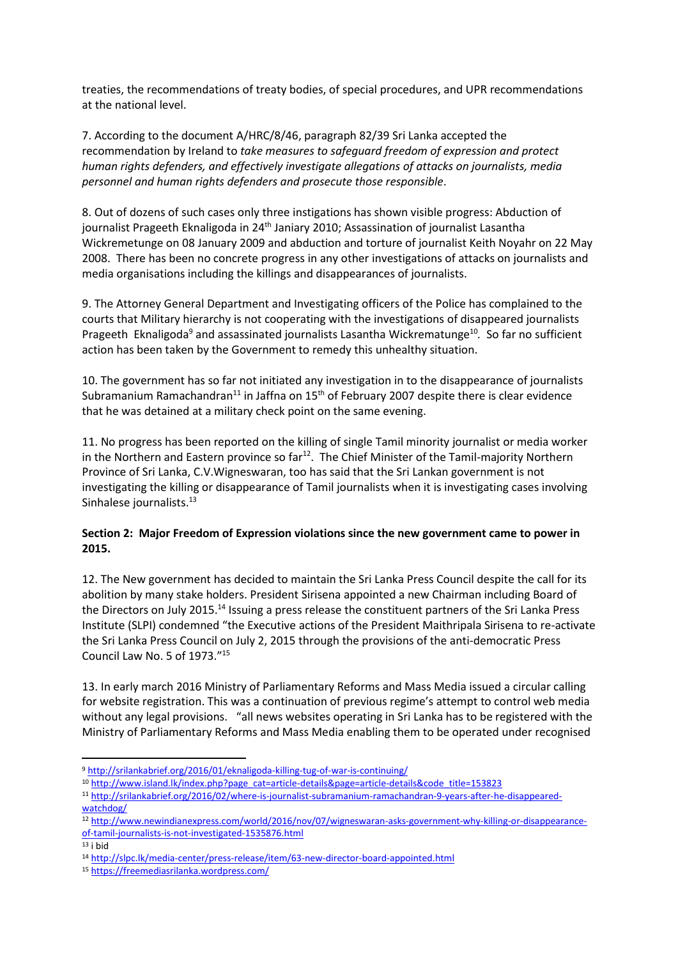treaties, the recommendations of treaty bodies, of special procedures, and UPR recommendations at the national level.

7. According to the document A/HRC/8/46, paragraph 82/39 Sri Lanka accepted the recommendation by Ireland to *take measures to safeguard freedom of expression and protect human rights defenders, and effectively investigate allegations of attacks on journalists, media personnel and human rights defenders and prosecute those responsible*.

8. Out of dozens of such cases only three instigations has shown visible progress: Abduction of journalist Prageeth Eknaligoda in 24<sup>th</sup> Janiary 2010; Assassination of journalist Lasantha Wickremetunge on 08 January 2009 and abduction and torture of journalist Keith Noyahr on 22 May 2008. There has been no concrete progress in any other investigations of attacks on journalists and media organisations including the killings and disappearances of journalists.

9. The Attorney General Department and Investigating officers of the Police has complained to the courts that Military hierarchy is not cooperating with the investigations of disappeared journalists Prageeth Eknaligoda<sup>9</sup> and assassinated journalists Lasantha Wickrematunge<sup>10</sup>. So far no sufficient action has been taken by the Government to remedy this unhealthy situation.

10. The government has so far not initiated any investigation in to the disappearance of journalists Subramanium Ramachandran<sup>11</sup> in Jaffna on 15<sup>th</sup> of February 2007 despite there is clear evidence that he was detained at a military check point on the same evening.

11. No progress has been reported on the killing of single Tamil minority journalist or media worker in the Northern and Eastern province so far<sup>12</sup>. The Chief Minister of the Tamil-majority Northern Province of Sri Lanka, C.V.Wigneswaran, too has said that the Sri Lankan government is not investigating the killing or disappearance of Tamil journalists when it is investigating cases involving Sinhalese journalists.<sup>13</sup>

## **Section 2: Major Freedom of Expression violations since the new government came to power in 2015.**

12. The New government has decided to maintain the Sri Lanka Press Council despite the call for its abolition by many stake holders. President Sirisena appointed a new Chairman including Board of the Directors on July 2015.<sup>14</sup> Issuing a press release the constituent partners of the Sri Lanka Press Institute (SLPI) condemned "the Executive actions of the President Maithripala Sirisena to re-activate the Sri Lanka Press Council on July 2, 2015 through the provisions of the anti-democratic Press Council Law No. 5 of 1973." 15

13. In early march 2016 Ministry of Parliamentary Reforms and Mass Media issued a circular calling for website registration. This was a continuation of previous regime's attempt to control web media without any legal provisions. "all news websites operating in Sri Lanka has to be registered with the Ministry of Parliamentary Reforms and Mass Media enabling them to be operated under recognised

 $13$  i bid

**<sup>.</sup>** <sup>9</sup> <http://srilankabrief.org/2016/01/eknaligoda-killing-tug-of-war-is-continuing/>

<sup>10</sup> [http://www.island.lk/index.php?page\\_cat=article-details&page=article-details&code\\_title=153823](http://www.island.lk/index.php?page_cat=article-details&page=article-details&code_title=153823)

<sup>11</sup> [http://srilankabrief.org/2016/02/where-is-journalist-subramanium-ramachandran-9-years-after-he-disappeared](http://srilankabrief.org/2016/02/where-is-journalist-subramanium-ramachandran-9-years-after-he-disappeared-watchdog/)[watchdog/](http://srilankabrief.org/2016/02/where-is-journalist-subramanium-ramachandran-9-years-after-he-disappeared-watchdog/)

<sup>12</sup> [http://www.newindianexpress.com/world/2016/nov/07/wigneswaran-asks-government-why-killing-or-disappearance](http://www.newindianexpress.com/world/2016/nov/07/wigneswaran-asks-government-why-killing-or-disappearance-of-tamil-journalists-is-not-investigated-1535876.html)[of-tamil-journalists-is-not-investigated-1535876.html](http://www.newindianexpress.com/world/2016/nov/07/wigneswaran-asks-government-why-killing-or-disappearance-of-tamil-journalists-is-not-investigated-1535876.html)

<sup>14</sup> <http://slpc.lk/media-center/press-release/item/63-new-director-board-appointed.html>

<sup>15</sup> <https://freemediasrilanka.wordpress.com/>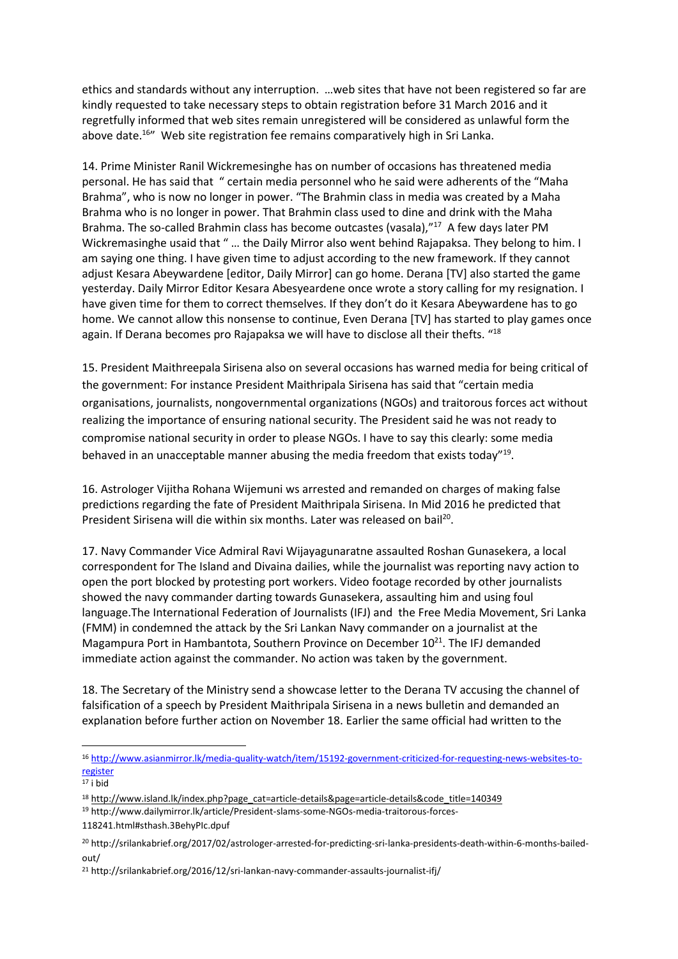ethics and standards without any interruption. …web sites that have not been registered so far are kindly requested to take necessary steps to obtain registration before 31 March 2016 and it regretfully informed that web sites remain unregistered will be considered as unlawful form the above date.<sup>16"</sup> Web site registration fee remains comparatively high in Sri Lanka.

14. Prime Minister Ranil Wickremesinghe has on number of occasions has threatened media personal. He has said that " certain media personnel who he said were adherents of the "Maha Brahma", who is now no longer in power. "The Brahmin class in media was created by a Maha Brahma who is no longer in power. That Brahmin class used to dine and drink with the Maha Brahma. The so-called Brahmin class has become outcastes (vasala),"<sup>17</sup> A few days later PM Wickremasinghe usaid that " … the Daily Mirror also went behind Rajapaksa. They belong to him. I am saying one thing. I have given time to adjust according to the new framework. If they cannot adjust Kesara Abeywardene [editor, Daily Mirror] can go home. Derana [TV] also started the game yesterday. Daily Mirror Editor Kesara Abesyeardene once wrote a story calling for my resignation. I have given time for them to correct themselves. If they don't do it Kesara Abeywardene has to go home. We cannot allow this nonsense to continue, Even Derana [TV] has started to play games once again. If Derana becomes pro Rajapaksa we will have to disclose all their thefts. "18

15. President Maithreepala Sirisena also on several occasions has warned media for being critical of the government: For instance President Maithripala Sirisena has said that "certain media organisations, journalists, nongovernmental organizations (NGOs) and traitorous forces act without realizing the importance of ensuring national security. The President said he was not ready to compromise national security in order to please NGOs. I have to say this clearly: some media behaved in an unacceptable manner abusing the media freedom that exists today"<sup>19</sup>.

16. Astrologer Vijitha Rohana Wijemuni ws arrested and remanded on charges of making false predictions regarding the fate of President Maithripala Sirisena. In Mid 2016 he predicted that President Sirisena will die within six months. Later was released on bail<sup>20</sup>.

17. Navy Commander Vice Admiral Ravi Wijayagunaratne assaulted Roshan Gunasekera, a local correspondent for The Island and Divaina dailies, while the journalist was reporting navy action to open the port blocked by protesting port workers. Video footage recorded by other journalists showed the navy commander darting towards Gunasekera, assaulting him and using foul language.The International Federation of Journalists (IFJ) and the Free Media Movement, Sri Lanka (FMM) in condemned the attack by the Sri Lankan Navy commander on a journalist at the Magampura Port in Hambantota, Southern Province on December  $10^{21}$ . The IFJ demanded immediate action against the commander. No action was taken by the government.

18. The Secretary of the Ministry send a showcase letter to the Derana TV accusing the channel of falsification of a speech by President Maithripala Sirisena in a news bulletin and demanded an explanation before further action on November 18. Earlier the same official had written to the

**.** 

<sup>16</sup> [http://www.asianmirror.lk/media-quality-watch/item/15192-government-criticized-for-requesting-news-websites-to](http://www.asianmirror.lk/media-quality-watch/item/15192-government-criticized-for-requesting-news-websites-to-register)[register](http://www.asianmirror.lk/media-quality-watch/item/15192-government-criticized-for-requesting-news-websites-to-register)

 $17$  i bid

<sup>&</sup>lt;sup>18</sup> [http://www.island.lk/index.php?page\\_cat=article-details&page=article-details&code\\_title=140349](http://www.island.lk/index.php?page_cat=article-details&page=article-details&code_title=140349)

<sup>19</sup> http://www.dailymirror.lk/article/President-slams-some-NGOs-media-traitorous-forces-

<sup>118241.</sup>html#sthash.3BehyPIc.dpuf

<sup>20</sup> http://srilankabrief.org/2017/02/astrologer-arrested-for-predicting-sri-lanka-presidents-death-within-6-months-bailedout/

<sup>&</sup>lt;sup>21</sup> http://srilankabrief.org/2016/12/sri-lankan-navy-commander-assaults-journalist-ifj/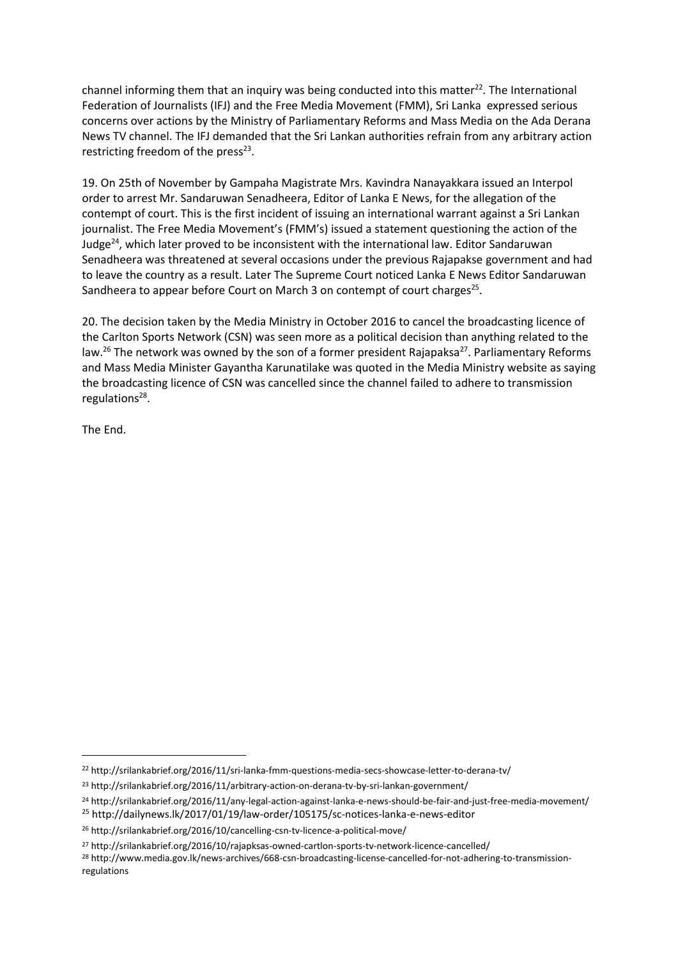channel informing them that an inquiry was being conducted into this matter $2^2$ . The International Federation of Journalists (IFJ) and the Free Media Movement (FMM), Sri Lanka expressed serious concerns over actions by the Ministry of Parliamentary Reforms and Mass Media on the Ada Derana News TV channel. The IFJ demanded that the Sri Lankan authorities refrain from any arbitrary action restricting freedom of the press $^{23}$ .

19. On 25th of November by Gampaha Magistrate Mrs. Kavindra Nanayakkara issued an Interpol order to arrest Mr. Sandaruwan Senadheera, Editor of Lanka E News, for the allegation of the contempt of court. This is the first incident of issuing an international warrant against a Sri Lankan journalist. The Free Media Movement's (FMM's) issued a statement questioning the action of the Judge $^{24}$ , which later proved to be inconsistent with the international law. Editor Sandaruwan Senadheera was threatened at several occasions under the previous Rajapakse government and had to leave the country as a result. Later The Supreme Court noticed Lanka E News Editor Sandaruwan Sandheera to appear before Court on March 3 on contempt of court charges<sup>25</sup>.

20. The decision taken by the Media Ministry in October 2016 to cancel the broadcasting licence of the Carlton Sports Network (CSN) was seen more as a political decision than anything related to the law.<sup>26</sup> The network was owned by the son of a former president Rajapaksa<sup>27</sup>. Parliamentary Reforms and Mass Media Minister Gayantha Karunatilake was quoted in the Media Ministry website as saying the broadcasting licence of CSN was cancelled since the channel failed to adhere to transmission regulations<sup>28</sup>.

The End.

**.** 

<sup>22</sup> http://srilankabrief.org/2016/11/sri-lanka-fmm-questions-media-secs-showcase-letter-to-derana-tv/

<sup>23</sup> http://srilankabrief.org/2016/11/arbitrary-action-on-derana-tv-by-sri-lankan-government/

<sup>24</sup> http://srilankabrief.org/2016/11/any-legal-action-against-lanka-e-news-should-be-fair-and-just-free-media-movement/

<sup>25</sup> http://dailynews.lk/2017/01/19/law-order/105175/sc-notices-lanka-e-news-editor

<sup>26</sup> http://srilankabrief.org/2016/10/cancelling-csn-tv-licence-a-political-move/

<sup>27</sup> http://srilankabrief.org/2016/10/rajapksas-owned-cartlon-sports-tv-network-licence-cancelled/

<sup>28</sup> http://www.media.gov.lk/news-archives/668-csn-broadcasting-license-cancelled-for-not-adhering-to-transmissionregulations